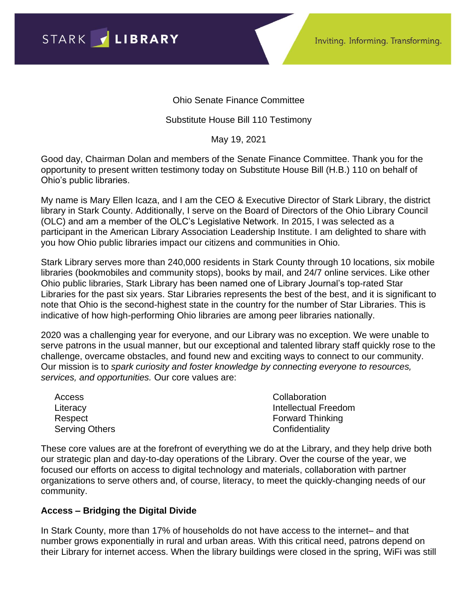STARK / LIBRARY

Ohio Senate Finance Committee

## Substitute House Bill 110 Testimony

May 19, 2021

Good day, Chairman Dolan and members of the Senate Finance Committee. Thank you for the opportunity to present written testimony today on Substitute House Bill (H.B.) 110 on behalf of Ohio's public libraries.

My name is Mary Ellen Icaza, and I am the CEO & Executive Director of Stark Library, the district library in Stark County. Additionally, I serve on the Board of Directors of the Ohio Library Council (OLC) and am a member of the OLC's Legislative Network. In 2015, I was selected as a participant in the American Library Association Leadership Institute. I am delighted to share with you how Ohio public libraries impact our citizens and communities in Ohio.

Stark Library serves more than 240,000 residents in Stark County through 10 locations, six mobile libraries (bookmobiles and community stops), books by mail, and 24/7 online services. Like other Ohio public libraries, Stark Library has been named one of Library Journal's top-rated Star Libraries for the past six years. Star Libraries represents the best of the best, and it is significant to note that Ohio is the second-highest state in the country for the number of Star Libraries. This is indicative of how high-performing Ohio libraries are among peer libraries nationally.

2020 was a challenging year for everyone, and our Library was no exception. We were unable to serve patrons in the usual manner, but our exceptional and talented library staff quickly rose to the challenge, overcame obstacles, and found new and exciting ways to connect to our community. Our mission is to *spark curiosity and foster knowledge by connecting everyone to resources, services, and opportunities.* Our core values are:

Access **Literacy** Respect Serving Others **Collaboration** Intellectual Freedom Forward Thinking **Confidentiality** 

These core values are at the forefront of everything we do at the Library, and they help drive both our strategic plan and day-to-day operations of the Library. Over the course of the year, we focused our efforts on access to digital technology and materials, collaboration with partner organizations to serve others and, of course, literacy, to meet the quickly-changing needs of our community.

## **Access – Bridging the Digital Divide**

In Stark County, more than 17% of households do not have access to the internet– and that number grows exponentially in rural and urban areas. With this critical need, patrons depend on their Library for internet access. When the library buildings were closed in the spring, WiFi was still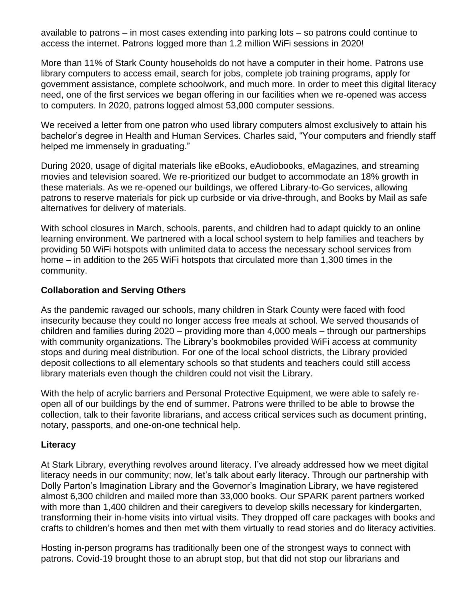available to patrons – in most cases extending into parking lots – so patrons could continue to access the internet. Patrons logged more than 1.2 million WiFi sessions in 2020!

More than 11% of Stark County households do not have a computer in their home. Patrons use library computers to access email, search for jobs, complete job training programs, apply for government assistance, complete schoolwork, and much more. In order to meet this digital literacy need, one of the first services we began offering in our facilities when we re-opened was access to computers. In 2020, patrons logged almost 53,000 computer sessions.

We received a letter from one patron who used library computers almost exclusively to attain his bachelor's degree in Health and Human Services. Charles said, "Your computers and friendly staff helped me immensely in graduating."

During 2020, usage of digital materials like eBooks, eAudiobooks, eMagazines, and streaming movies and television soared. We re-prioritized our budget to accommodate an 18% growth in these materials. As we re-opened our buildings, we offered Library-to-Go services, allowing patrons to reserve materials for pick up curbside or via drive-through, and Books by Mail as safe alternatives for delivery of materials.

With school closures in March, schools, parents, and children had to adapt quickly to an online learning environment. We partnered with a local school system to help families and teachers by providing 50 WiFi hotspots with unlimited data to access the necessary school services from home – in addition to the 265 WiFi hotspots that circulated more than 1,300 times in the community.

## **Collaboration and Serving Others**

As the pandemic ravaged our schools, many children in Stark County were faced with food insecurity because they could no longer access free meals at school. We served thousands of children and families during 2020 – providing more than 4,000 meals – through our partnerships with community organizations. The Library's bookmobiles provided WiFi access at community stops and during meal distribution. For one of the local school districts, the Library provided deposit collections to all elementary schools so that students and teachers could still access library materials even though the children could not visit the Library.

With the help of acrylic barriers and Personal Protective Equipment, we were able to safely reopen all of our buildings by the end of summer. Patrons were thrilled to be able to browse the collection, talk to their favorite librarians, and access critical services such as document printing, notary, passports, and one-on-one technical help.

## **Literacy**

At Stark Library, everything revolves around literacy. I've already addressed how we meet digital literacy needs in our community; now, let's talk about early literacy. Through our partnership with Dolly Parton's Imagination Library and the Governor's Imagination Library, we have registered almost 6,300 children and mailed more than 33,000 books. Our SPARK parent partners worked with more than 1,400 children and their caregivers to develop skills necessary for kindergarten, transforming their in-home visits into virtual visits. They dropped off care packages with books and crafts to children's homes and then met with them virtually to read stories and do literacy activities.

Hosting in-person programs has traditionally been one of the strongest ways to connect with patrons. Covid-19 brought those to an abrupt stop, but that did not stop our librarians and